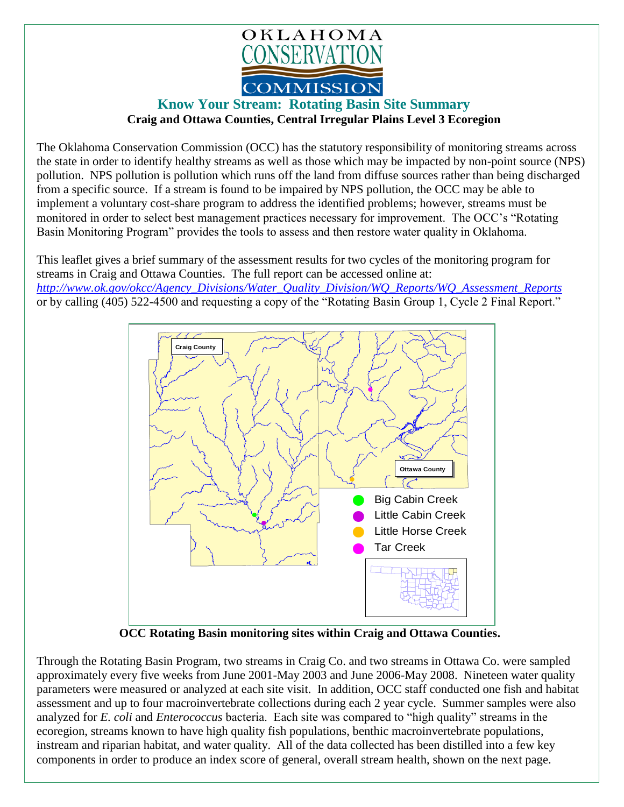

## **Know Your Stream: Rotating Basin Site Summary Craig and Ottawa Counties, Central Irregular Plains Level 3 Ecoregion**

The Oklahoma Conservation Commission (OCC) has the statutory responsibility of monitoring streams across the state in order to identify healthy streams as well as those which may be impacted by non-point source (NPS) pollution. NPS pollution is pollution which runs off the land from diffuse sources rather than being discharged from a specific source. If a stream is found to be impaired by NPS pollution, the OCC may be able to implement a voluntary cost-share program to address the identified problems; however, streams must be monitored in order to select best management practices necessary for improvement. The OCC's "Rotating Basin Monitoring Program" provides the tools to assess and then restore water quality in Oklahoma.

This leaflet gives a brief summary of the assessment results for two cycles of the monitoring program for streams in Craig and Ottawa Counties. The full report can be accessed online at: *[http://www.ok.gov/okcc/Agency\\_Divisions/Water\\_Quality\\_Division/WQ\\_Reports/WQ\\_Assessment\\_Reports](http://www.ok.gov/okcc/Agency_Divisions/Water_Quality_Division/WQ_Reports/WQ_Assessment_Reports)* or by calling (405) 522-4500 and requesting a copy of the "Rotating Basin Group 1, Cycle 2 Final Report."



 **OCC Rotating Basin monitoring sites within Craig and Ottawa Counties.**

Through the Rotating Basin Program, two streams in Craig Co. and two streams in Ottawa Co. were sampled approximately every five weeks from June 2001-May 2003 and June 2006-May 2008. Nineteen water quality parameters were measured or analyzed at each site visit. In addition, OCC staff conducted one fish and habitat assessment and up to four macroinvertebrate collections during each 2 year cycle. Summer samples were also analyzed for *E. coli* and *Enterococcus* bacteria. Each site was compared to "high quality" streams in the ecoregion, streams known to have high quality fish populations, benthic macroinvertebrate populations, instream and riparian habitat, and water quality. All of the data collected has been distilled into a few key components in order to produce an index score of general, overall stream health, shown on the next page.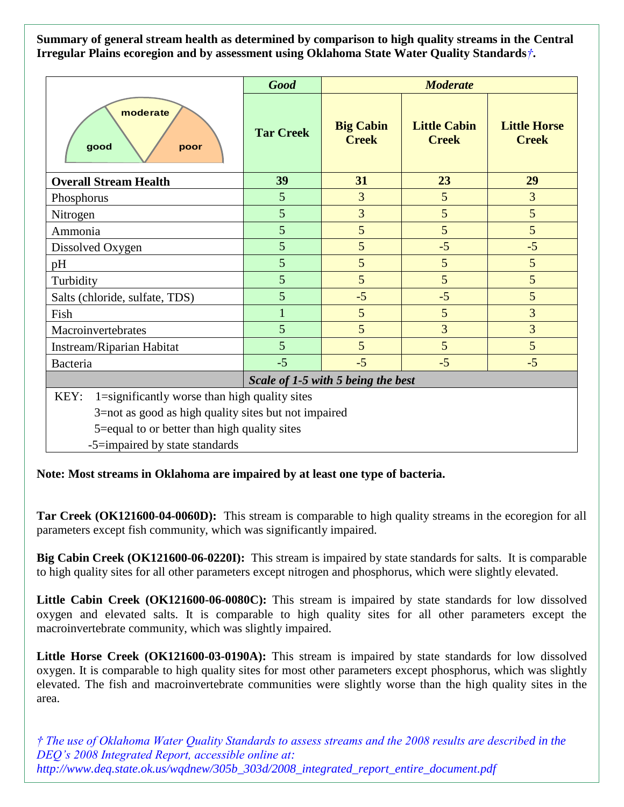**Summary of general stream health as determined by comparison to high quality streams in the Central Irregular Plains ecoregion and by assessment using Oklahoma State Water Quality Standards***†***.**

|                                                                                                                                                                                                 | <b>Good</b>      | <b>Moderate</b>                  |                                     |                                     |
|-------------------------------------------------------------------------------------------------------------------------------------------------------------------------------------------------|------------------|----------------------------------|-------------------------------------|-------------------------------------|
| moderate<br>qood<br>poor                                                                                                                                                                        | <b>Tar Creek</b> | <b>Big Cabin</b><br><b>Creek</b> | <b>Little Cabin</b><br><b>Creek</b> | <b>Little Horse</b><br><b>Creek</b> |
| <b>Overall Stream Health</b>                                                                                                                                                                    | 39               | 31                               | 23                                  | 29                                  |
| Phosphorus                                                                                                                                                                                      | 5                | 3                                | 5                                   | 3                                   |
| Nitrogen                                                                                                                                                                                        | 5                | 3                                | 5                                   | $5\overline{)}$                     |
| Ammonia                                                                                                                                                                                         | 5                | 5                                | 5                                   | 5                                   |
| Dissolved Oxygen                                                                                                                                                                                | 5                | 5                                | $-5$                                | $-5$                                |
| pH                                                                                                                                                                                              | 5                | 5                                | 5                                   | 5                                   |
| Turbidity                                                                                                                                                                                       | 5                | 5                                | 5                                   | 5                                   |
| Salts (chloride, sulfate, TDS)                                                                                                                                                                  | 5                | $-5$                             | $-5$                                | 5                                   |
| Fish                                                                                                                                                                                            |                  | 5                                | $\overline{5}$                      | 3                                   |
| Macroinvertebrates                                                                                                                                                                              | 5                | 5                                | 3                                   | 3                                   |
| Instream/Riparian Habitat                                                                                                                                                                       | 5                | 5                                | 5                                   | 5                                   |
| Bacteria                                                                                                                                                                                        | $-5$             | $-5$                             | $-5$                                | $-5$                                |
| Scale of 1-5 with 5 being the best                                                                                                                                                              |                  |                                  |                                     |                                     |
| 1=significantly worse than high quality sites<br>KEY:<br>3=not as good as high quality sites but not impaired<br>5=equal to or better than high quality sites<br>-5=impaired by state standards |                  |                                  |                                     |                                     |

**Note: Most streams in Oklahoma are impaired by at least one type of bacteria.**

**Tar Creek (OK121600-04-0060D):** This stream is comparable to high quality streams in the ecoregion for all parameters except fish community, which was significantly impaired.

**Big Cabin Creek (OK121600-06-0220I):** This stream is impaired by state standards for salts. It is comparable to high quality sites for all other parameters except nitrogen and phosphorus, which were slightly elevated.

Little Cabin Creek (OK121600-06-0080C): This stream is impaired by state standards for low dissolved oxygen and elevated salts. It is comparable to high quality sites for all other parameters except the macroinvertebrate community, which was slightly impaired.

Little Horse Creek (OK121600-03-0190A): This stream is impaired by state standards for low dissolved oxygen. It is comparable to high quality sites for most other parameters except phosphorus, which was slightly elevated. The fish and macroinvertebrate communities were slightly worse than the high quality sites in the area.

*† The use of Oklahoma Water Quality Standards to assess streams and the 2008 results are described in the DEQ's 2008 Integrated Report, accessible online at: http://www.deq.state.ok.us/wqdnew/305b\_303d/2008\_integrated\_report\_entire\_document.pdf*